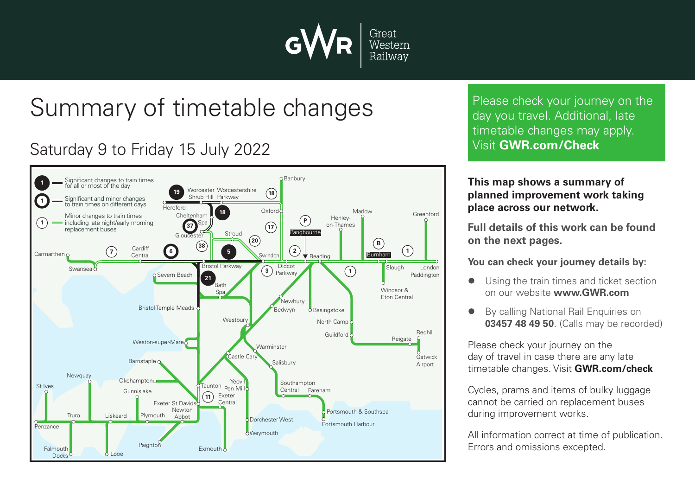

# Summary of timetable changes

# Saturday 9 to Friday 15 July 2022



Please check your journey on the day you travel. Additional, late timetable changes may apply. Visit **GWR.com/Check**

#### **This map shows a summary of planned improvement work taking place across our network.**

**Full details of this work can be found on the next pages.**

**You can check your journey details by:**

- Using the train times and ticket section on our website **www.GWR.com**
- **By calling National Rail Enquiries on 03457 48 49 50**. (Calls may be recorded)

Please check your journey on the day of travel in case there are any late timetable changes. Visit **GWR.com/check**

Cycles, prams and items of bulky luggage cannot be carried on replacement buses during improvement works.

All information correct at time of publication. Errors and omissions excepted.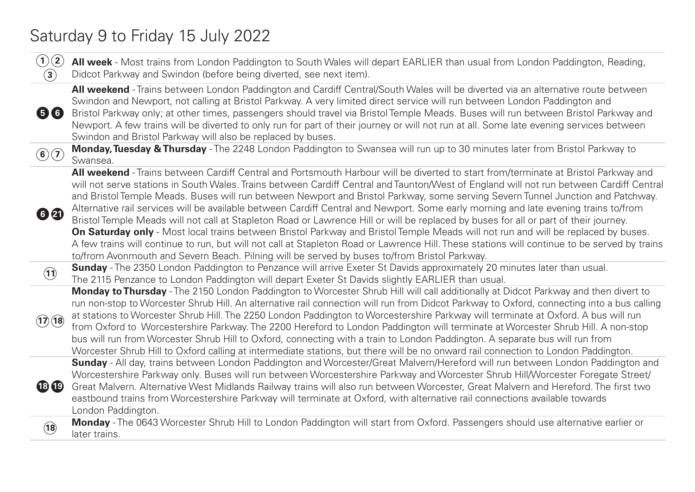### Saturday 9 to Friday 15 July 2022

| (1)(2)<br>$\bf(3)$ | All week - Most trains from London Paddington to South Wales will depart EARLIER than usual from London Paddington, Reading,<br>Didcot Parkway and Swindon (before being diverted, see next item).                                                                                                                                                                                                                                                                                                                                                                                                                                                                                                                                                                                                                                                                                                                                                                                                                                                                                    |
|--------------------|---------------------------------------------------------------------------------------------------------------------------------------------------------------------------------------------------------------------------------------------------------------------------------------------------------------------------------------------------------------------------------------------------------------------------------------------------------------------------------------------------------------------------------------------------------------------------------------------------------------------------------------------------------------------------------------------------------------------------------------------------------------------------------------------------------------------------------------------------------------------------------------------------------------------------------------------------------------------------------------------------------------------------------------------------------------------------------------|
| 56                 | All weekend - Trains between London Paddington and Cardiff Central/South Wales will be diverted via an alternative route between<br>Swindon and Newport, not calling at Bristol Parkway. A very limited direct service will run between London Paddington and<br>Bristol Parkway only; at other times, passengers should travel via Bristol Temple Meads. Buses will run between Bristol Parkway and<br>Newport. A few trains will be diverted to only run for part of their journey or will not run at all. Some late evening services between<br>Swindon and Bristol Parkway will also be replaced by buses.                                                                                                                                                                                                                                                                                                                                                                                                                                                                        |
| $\mathbf{G}(7)$    | Monday, Tuesday & Thursday - The 2248 London Paddington to Swansea will run up to 30 minutes later from Bristol Parkway to<br>Swansea.                                                                                                                                                                                                                                                                                                                                                                                                                                                                                                                                                                                                                                                                                                                                                                                                                                                                                                                                                |
| 62                 | All weekend - Trains between Cardiff Central and Portsmouth Harbour will be diverted to start from/terminate at Bristol Parkway and<br>will not serve stations in South Wales. Trains between Cardiff Central and Taunton/West of England will not run between Cardiff Central<br>and Bristol Temple Meads. Buses will run between Newport and Bristol Parkway, some serving Severn Tunnel Junction and Patchway.<br>Alternative rail services will be available between Cardiff Central and Newport. Some early morning and late evening trains to/from<br>Bristol Temple Meads will not call at Stapleton Road or Lawrence Hill or will be replaced by buses for all or part of their journey.<br>On Saturday only - Most local trains between Bristol Parkway and Bristol Temple Meads will not run and will be replaced by buses.<br>A few trains will continue to run, but will not call at Stapleton Road or Lawrence Hill. These stations will continue to be served by trains<br>to/from Avonmouth and Severn Beach. Pilning will be served by buses to/from Bristol Parkway. |
| (11)               | <b>Sunday</b> - The 2350 London Paddington to Penzance will arrive Exeter St Davids approximately 20 minutes later than usual.<br>The 2115 Penzance to London Paddington will depart Exeter St Davids slightly EARLIER than usual.                                                                                                                                                                                                                                                                                                                                                                                                                                                                                                                                                                                                                                                                                                                                                                                                                                                    |
| (17)(18)           | Monday to Thursday - The 2150 London Paddington to Worcester Shrub Hill will call additionally at Didcot Parkway and then divert to<br>run non-stop to Worcester Shrub Hill. An alternative rail connection will run from Didcot Parkway to Oxford, connecting into a bus calling<br>at stations to Worcester Shrub Hill. The 2250 London Paddington to Worcestershire Parkway will terminate at Oxford. A bus will run<br>from Oxford to Worcestershire Parkway. The 2200 Hereford to London Paddington will terminate at Worcester Shrub Hill. A non-stop<br>bus will run from Worcester Shrub Hill to Oxford, connecting with a train to London Paddington. A separate bus will run from<br>Worcester Shrub Hill to Oxford calling at intermediate stations, but there will be no onward rail connection to London Paddington.                                                                                                                                                                                                                                                     |
| <b>18 19</b>       | Sunday - All day, trains between London Paddington and Worcester/Great Malvern/Hereford will run between London Paddington and<br>Worcestershire Parkway only. Buses will run between Worcestershire Parkway and Worcester Shrub Hill/Worcester Foregate Street/<br>Great Malvern. Alternative West Midlands Railway trains will also run between Worcester, Great Malvern and Hereford. The first two<br>eastbound trains from Worcestershire Parkway will terminate at Oxford, with alternative rail connections available towards<br>London Paddington.                                                                                                                                                                                                                                                                                                                                                                                                                                                                                                                            |
| (18)               | Monday - The 0643 Worcester Shrub Hill to London Paddington will start from Oxford. Passengers should use alternative earlier or<br>later trains.                                                                                                                                                                                                                                                                                                                                                                                                                                                                                                                                                                                                                                                                                                                                                                                                                                                                                                                                     |